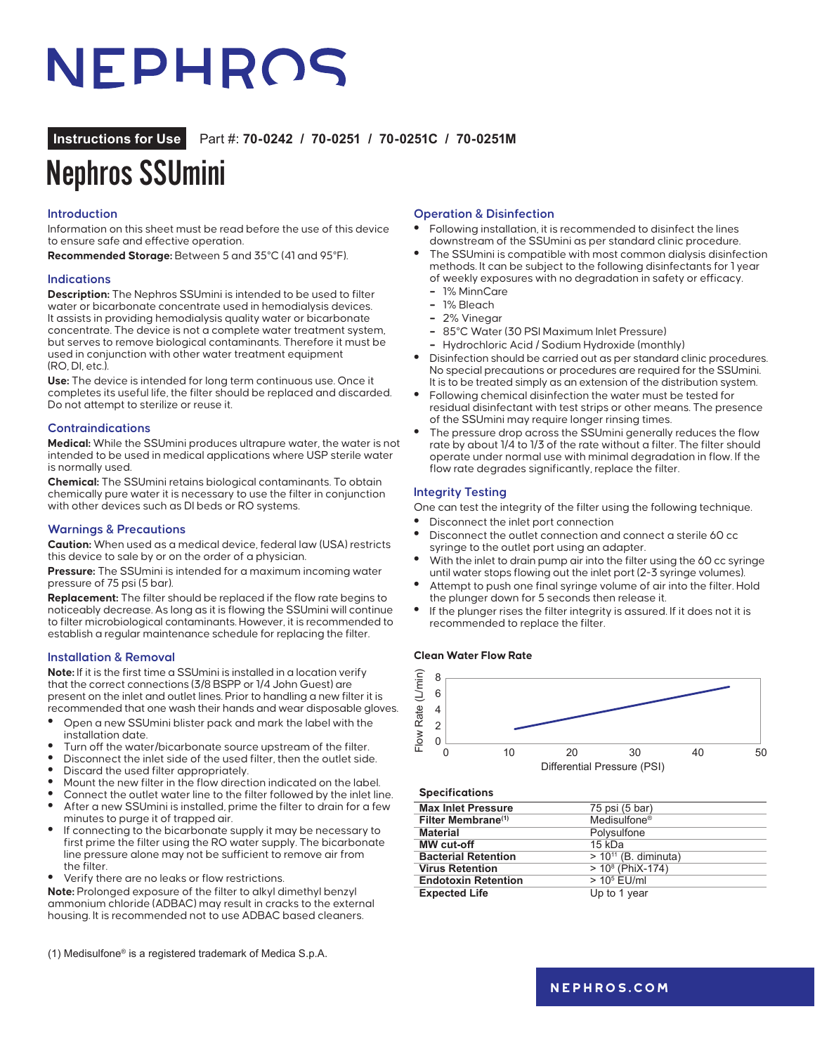# NEPHROS

### **Instructions for Use** Part #: **70-0242 / 70-0251 / 70-0251C / 70-0251M**

# Nephros SSUmini

#### **Introduction**

Information on this sheet must be read before the use of this device to ensure safe and effective operation.

**Recommended Storage:** Between 5 and 35°C (41 and 95°F).

#### **Indications**

**Description:** The Nephros SSUmini is intended to be used to filter water or bicarbonate concentrate used in hemodialysis devices. It assists in providing hemodialysis quality water or bicarbonate concentrate. The device is not a complete water treatment system, but serves to remove biological contaminants. Therefore it must be used in conjunction with other water treatment equipment (RO, DI, etc.).

**Use:** The device is intended for long term continuous use. Once it completes its useful life, the filter should be replaced and discarded. Do not attempt to sterilize or reuse it.

#### **Contraindications**

**Medical:** While the SSUmini produces ultrapure water, the water is not intended to be used in medical applications where USP sterile water is normally used.

**Chemical:** The SSUmini retains biological contaminants. To obtain chemically pure water it is necessary to use the filter in conjunction with other devices such as DI beds or RO systems.

#### **Warnings & Precautions**

**Caution:** When used as a medical device, federal law (USA) restricts this device to sale by or on the order of a physician.

**Pressure:** The SSUmini is intended for a maximum incoming water pressure of 75 psi (5 bar).

**Replacement:** The filter should be replaced if the flow rate begins to noticeably decrease. As long as it is flowing the SSUmini will continue to filter microbiological contaminants. However, it is recommended to establish a regular maintenance schedule for replacing the filter.

#### **Installation & Removal**

**Note:** If it is the first time a SSUmini is installed in a location verify that the correct connections (3/8 BSPP or 1/4 John Guest) are present on the inlet and outlet lines. Prior to handling a new filter it is recommended that one wash their hands and wear disposable gloves.

- **•** Open a new SSUmini blister pack and mark the label with the installation date.
- **•** Turn off the water/bicarbonate source upstream of the filter.
- **•** Disconnect the inlet side of the used filter, then the outlet side.
- **•** Discard the used filter appropriately.
- **•** Mount the new filter in the flow direction indicated on the label.
- **•** Connect the outlet water line to the filter followed by the inlet line.
- **•** After a new SSUmini is installed, prime the filter to drain for a few minutes to purge it of trapped air.
- **•** If connecting to the bicarbonate supply it may be necessary to first prime the filter using the RO water supply. The bicarbonate line pressure alone may not be sufficient to remove air from the filter.
- **•** Verify there are no leaks or flow restrictions.

**Note:** Prolonged exposure of the filter to alkyl dimethyl benzyl ammonium chloride (ADBAC) may result in cracks to the external housing. It is recommended not to use ADBAC based cleaners.

(1) Medisulfone® is a registered trademark of Medica S.p.A.

#### **Operation & Disinfection**

- **•** Following installation, it is recommended to disinfect the lines downstream of the SSUmini as per standard clinic procedure.
- **•** The SSUmini is compatible with most common dialysis disinfection methods. It can be subject to the following disinfectants for 1 year of weekly exposures with no degradation in safety or efficacy.
	- **–** 1% MinnCare
	- **–** 1% Bleach
	- **–** 2% Vinegar
	- **–** 85°C Water (30 PSI Maximum Inlet Pressure)
	- **–** Hydrochloric Acid / Sodium Hydroxide (monthly)
- **•** Disinfection should be carried out as per standard clinic procedures. No special precautions or procedures are required for the SSUmini. It is to be treated simply as an extension of the distribution system.
- **•** Following chemical disinfection the water must be tested for residual disinfectant with test strips or other means. The presence of the SSUmini may require longer rinsing times.
- **•** The pressure drop across the SSUmini generally reduces the flow rate by about 1/4 to 1/3 of the rate without a filter. The filter should operate under normal use with minimal degradation in flow. If the flow rate degrades significantly, replace the filter.

#### **Integrity Testing**

One can test the integrity of the filter using the following technique.

- **•** Disconnect the inlet port connection
- **•** Disconnect the outlet connection and connect a sterile 60 cc syringe to the outlet port using an adapter.
- **•** With the inlet to drain pump air into the filter using the 60 cc syringe until water stops flowing out the inlet port (2-3 syringe volumes).
- **•** Attempt to push one final syringe volume of air into the filter. Hold the plunger down for 5 seconds then release it.
- **•** If the plunger rises the filter integrity is assured. If it does not it is recommended to replace the filter.

#### **Clean Water Flow Rate**



#### **Specifications**

| <b>Max Inlet Pressure</b>      | 75 psi (5 bar)            |
|--------------------------------|---------------------------|
| Filter Membrane <sup>(1)</sup> | Medisulfone <sup>®</sup>  |
| <b>Material</b>                | Polysulfone               |
| MW cut-off                     | $15$ kDa                  |
| <b>Bacterial Retention</b>     | $> 10^{11}$ (B. diminuta) |
| <b>Virus Retention</b>         | $> 108$ (PhiX-174)        |
| <b>Endotoxin Retention</b>     | $> 105$ EU/ml             |
| <b>Expected Life</b>           | Up to 1 year              |
|                                |                           |

### **[nephros.com](https://www.nephros.com/)**